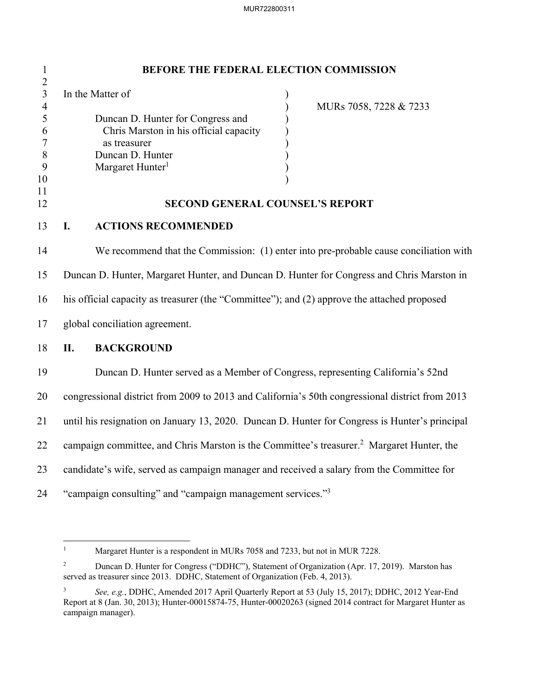| $\mathbf{1}$                                                               | <b>BEFORE THE FEDERAL ELECTION COMMISSION</b>                                                                                                                                                 |
|----------------------------------------------------------------------------|-----------------------------------------------------------------------------------------------------------------------------------------------------------------------------------------------|
| $\overline{2}$<br>3<br>$\overline{4}$<br>5<br>6<br>7<br>8<br>9<br>10<br>11 | In the Matter of<br>MURs 7058, 7228 & 7233<br>Duncan D. Hunter for Congress and<br>Chris Marston in his official capacity<br>as treasurer<br>Duncan D. Hunter<br>Margaret Hunter <sup>1</sup> |
| 12                                                                         | <b>SECOND GENERAL COUNSEL'S REPORT</b>                                                                                                                                                        |
| 13                                                                         | <b>ACTIONS RECOMMENDED</b><br>I.                                                                                                                                                              |
| 14                                                                         | We recommend that the Commission: (1) enter into pre-probable cause conciliation with                                                                                                         |
| 15                                                                         | Duncan D. Hunter, Margaret Hunter, and Duncan D. Hunter for Congress and Chris Marston in                                                                                                     |
| 16                                                                         | his official capacity as treasurer (the "Committee"); and (2) approve the attached proposed                                                                                                   |
| 17                                                                         | global conciliation agreement.                                                                                                                                                                |
| 18                                                                         | II.<br><b>BACKGROUND</b>                                                                                                                                                                      |
| 19                                                                         | Duncan D. Hunter served as a Member of Congress, representing California's 52nd                                                                                                               |
| 20                                                                         | congressional district from 2009 to 2013 and California's 50th congressional district from 2013                                                                                               |
| 21                                                                         | until his resignation on January 13, 2020. Duncan D. Hunter for Congress is Hunter's principal                                                                                                |
| 22                                                                         | campaign committee, and Chris Marston is the Committee's treasurer. <sup>2</sup> Margaret Hunter, the                                                                                         |
| 23                                                                         | candidate's wife, served as campaign manager and received a salary from the Committee for                                                                                                     |
| 24                                                                         | "campaign consulting" and "campaign management services." <sup>3</sup>                                                                                                                        |

 $\frac{1}{1}$ Margaret Hunter is a respondent in MURs 7058 and 7233, but not in MUR 7228.

<sup>2</sup> Duncan D. Hunter for Congress ("DDHC"), Statement of Organization (Apr. 17, 2019). Marston has served as treasurer since 2013. DDHC, Statement of Organization (Feb. 4, 2013).

<sup>3</sup> *See, e.g.*, DDHC, Amended 2017 April Quarterly Report at 53 (July 15, 2017); DDHC, 2012 Year-End Report at 8 (Jan. 30, 2013); Hunter-00015874-75, Hunter-00020263 (signed 2014 contract for Margaret Hunter as campaign manager).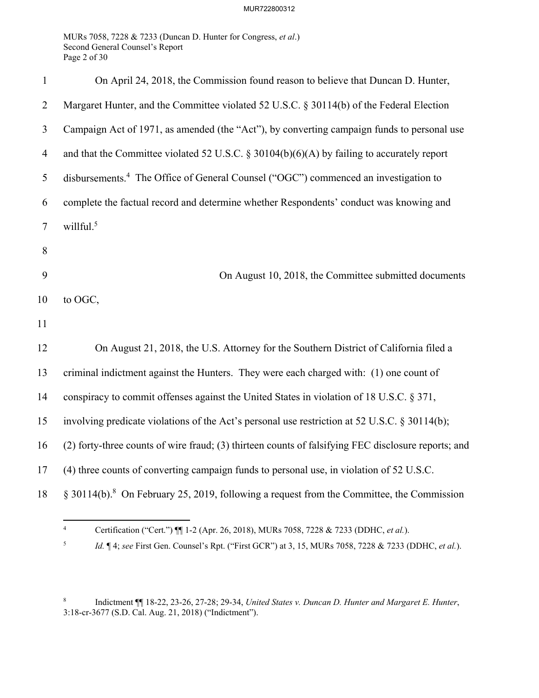| MURs 7058, 7228 & 7233 (Duncan D. Hunter for Congress, et al.) |  |
|----------------------------------------------------------------|--|
| Second General Counsel's Report                                |  |
| Page 2 of $30$                                                 |  |

| $\mathbf{1}$   | On April 24, 2018, the Commission found reason to believe that Duncan D. Hunter,                         |
|----------------|----------------------------------------------------------------------------------------------------------|
| $\overline{2}$ | Margaret Hunter, and the Committee violated 52 U.S.C. § 30114(b) of the Federal Election                 |
| 3              | Campaign Act of 1971, as amended (the "Act"), by converting campaign funds to personal use               |
| $\overline{4}$ | and that the Committee violated 52 U.S.C. § 30104(b)(6)(A) by failing to accurately report               |
| 5              | disbursements. <sup>4</sup> The Office of General Counsel ("OGC") commenced an investigation to          |
| 6              | complete the factual record and determine whether Respondents' conduct was knowing and                   |
| $\tau$         | willful. <sup>5</sup>                                                                                    |
| 8              |                                                                                                          |
| 9              | On August 10, 2018, the Committee submitted documents                                                    |
| 10             | to OGC,                                                                                                  |
| 11             |                                                                                                          |
| 12             | On August 21, 2018, the U.S. Attorney for the Southern District of California filed a                    |
| 13             | criminal indictment against the Hunters. They were each charged with: (1) one count of                   |
| 14             | conspiracy to commit offenses against the United States in violation of 18 U.S.C. § 371,                 |
| 15             | involving predicate violations of the Act's personal use restriction at 52 U.S.C. § 30114(b);            |
| 16             | (2) forty-three counts of wire fraud; (3) thirteen counts of falsifying FEC disclosure reports; and      |
| 17             | (4) three counts of converting campaign funds to personal use, in violation of 52 U.S.C.                 |
| 18             | $\S$ 30114(b). <sup>8</sup> On February 25, 2019, following a request from the Committee, the Commission |
|                |                                                                                                          |

 $\frac{1}{4}$ Certification ("Cert.") ¶¶ 1-2 (Apr. 26, 2018), MURs 7058, 7228 & 7233 (DDHC, *et al.*).

<sup>5</sup> *Id.* ¶ 4; *see* First Gen. Counsel's Rpt. ("First GCR") at 3, 15, MURs 7058, 7228 & 7233 (DDHC, *et al.*).

<sup>8</sup> Indictment ¶¶ 18-22, 23-26, 27-28; 29-34, *United States v. Duncan D. Hunter and Margaret E. Hunter*, 3:18-cr-3677 (S.D. Cal. Aug. 21, 2018) ("Indictment").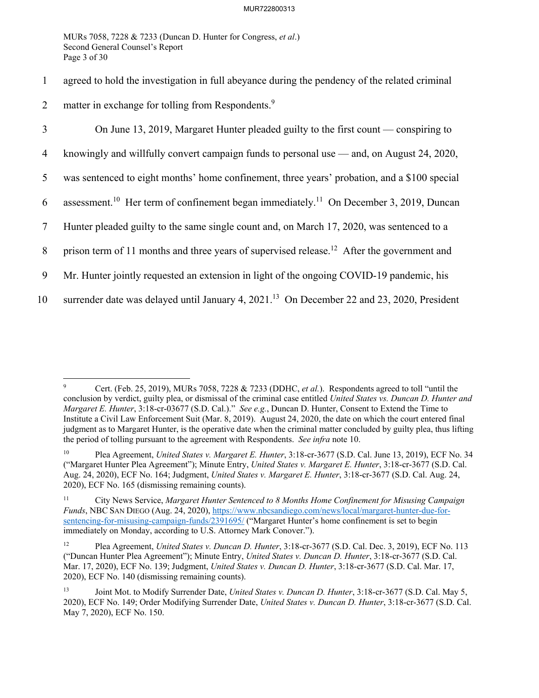MURs 7058, 7228 & 7233 (Duncan D. Hunter for Congress, *et al*.) Second General Counsel's Report Page 3 of 30

1 agreed to hold the investigation in full abeyance during the pendency of the related criminal

2 matter in exchange for tolling from Respondents.<sup>9</sup>

 $\overline{a}$ 

| 3  | On June 13, 2019, Margaret Hunter pleaded guilty to the first count — conspiring to                            |
|----|----------------------------------------------------------------------------------------------------------------|
| 4  | knowingly and willfully convert campaign funds to personal use — and, on August 24, 2020,                      |
| 5  | was sentenced to eight months' home confinement, three years' probation, and a \$100 special                   |
| 6  | assessment. <sup>10</sup> Her term of confinement began immediately. <sup>11</sup> On December 3, 2019, Duncan |
| 7  | Hunter pleaded guilty to the same single count and, on March 17, 2020, was sentenced to a                      |
| 8  | prison term of 11 months and three years of supervised release. <sup>12</sup> After the government and         |
| 9  | Mr. Hunter jointly requested an extension in light of the ongoing COVID-19 pandemic, his                       |
| 10 | surrender date was delayed until January 4, 2021. <sup>13</sup> On December 22 and 23, 2020, President         |

9 Cert. (Feb. 25, 2019), MURs 7058, 7228 & 7233 (DDHC, *et al.*). Respondents agreed to toll "until the conclusion by verdict, guilty plea, or dismissal of the criminal case entitled *United States vs. Duncan D. Hunter and Margaret E. Hunter*, 3:18-cr-03677 (S.D. Cal.)." *See e.g.*, Duncan D. Hunter, Consent to Extend the Time to Institute a Civil Law Enforcement Suit (Mar. 8, 2019). August 24, 2020, the date on which the court entered final judgment as to Margaret Hunter, is the operative date when the criminal matter concluded by guilty plea, thus lifting the period of tolling pursuant to the agreement with Respondents. *See infra* note 10.

<sup>10</sup> Plea Agreement, *United States v. Margaret E. Hunter*, 3:18-cr-3677 (S.D. Cal. June 13, 2019), ECF No. 34 ("Margaret Hunter Plea Agreement"); Minute Entry, *United States v. Margaret E. Hunter*, 3:18-cr-3677 (S.D. Cal. Aug. 24, 2020), ECF No. 164; Judgment, *United States v. Margaret E. Hunter*, 3:18-cr-3677 (S.D. Cal. Aug. 24, 2020), ECF No. 165 (dismissing remaining counts).

<sup>11</sup> City News Service, *Margaret Hunter Sentenced to 8 Months Home Confinement for Misusing Campaign Funds*, NBC SAN DIEGO (Aug. 24, 2020), https://www.nbcsandiego.com/news/local/margaret-hunter-due-forsentencing-for-misusing-campaign-funds/2391695/ ("Margaret Hunter's home confinement is set to begin immediately on Monday, according to U.S. Attorney Mark Conover.").

<sup>12</sup> Plea Agreement, *United States v. Duncan D. Hunter*, 3:18-cr-3677 (S.D. Cal. Dec. 3, 2019), ECF No. 113 ("Duncan Hunter Plea Agreement"); Minute Entry, *United States v. Duncan D. Hunter*, 3:18-cr-3677 (S.D. Cal. Mar. 17, 2020), ECF No. 139; Judgment, *United States v. Duncan D. Hunter*, 3:18-cr-3677 (S.D. Cal. Mar. 17, 2020), ECF No. 140 (dismissing remaining counts).

<sup>13</sup> Joint Mot. to Modify Surrender Date, *United States v. Duncan D. Hunter*, 3:18-cr-3677 (S.D. Cal. May 5, 2020), ECF No. 149; Order Modifying Surrender Date, *United States v. Duncan D. Hunter*, 3:18-cr-3677 (S.D. Cal. May 7, 2020), ECF No. 150.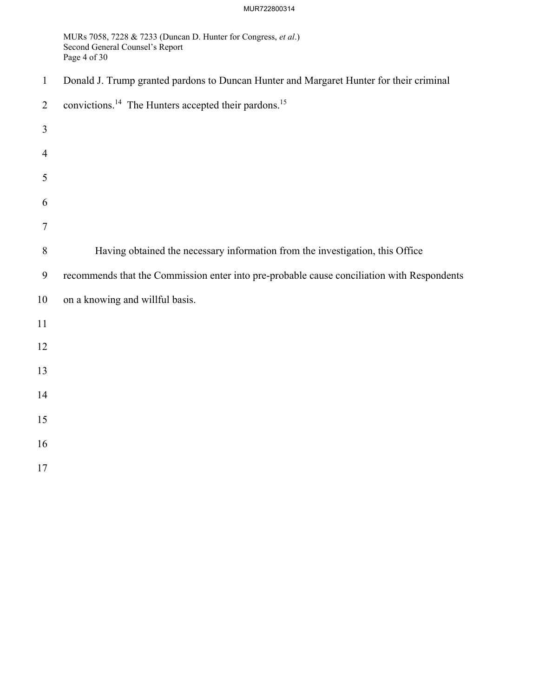| MURs 7058, 7228 & 7233 (Duncan D. Hunter for Congress, et al.) |
|----------------------------------------------------------------|
| Second General Counsel's Report                                |
| Page 4 of 30                                                   |

|  |  |  | Donald J. Trump granted pardons to Duncan Hunter and Margaret Hunter for their criminal |  |
|--|--|--|-----------------------------------------------------------------------------------------|--|
|--|--|--|-----------------------------------------------------------------------------------------|--|

| $\overline{2}$ | convictions. <sup>14</sup> The Hunters accepted their pardons. <sup>15</sup>               |
|----------------|--------------------------------------------------------------------------------------------|
| $\mathfrak{Z}$ |                                                                                            |
| $\overline{4}$ |                                                                                            |
| 5              |                                                                                            |
| 6              |                                                                                            |
| $\tau$         |                                                                                            |
| $8\,$          | Having obtained the necessary information from the investigation, this Office              |
| 9              | recommends that the Commission enter into pre-probable cause conciliation with Respondents |
| $10\,$         | on a knowing and willful basis.                                                            |
| 11             |                                                                                            |
| 12             |                                                                                            |
| 13             |                                                                                            |
| 14             |                                                                                            |
| 15             |                                                                                            |
| 16             |                                                                                            |
| 17             |                                                                                            |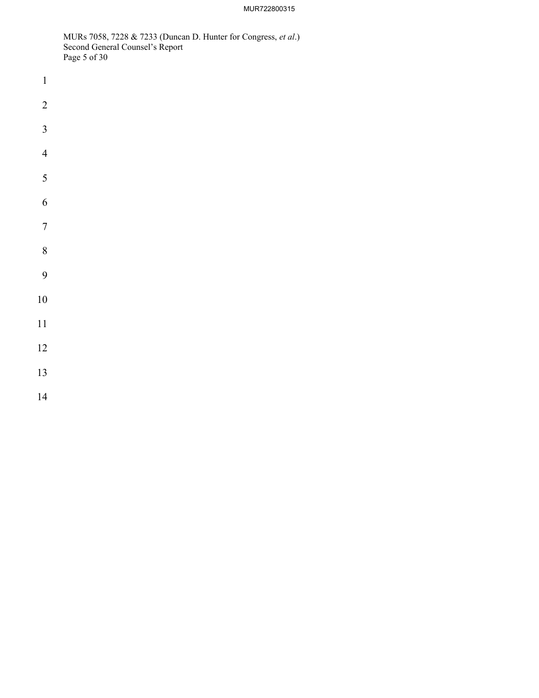MURs 7058, 7228 & 7233 (Duncan D. Hunter for Congress, *et al*.) Second General Counsel's Report Page 5 of 30

- 
- 
-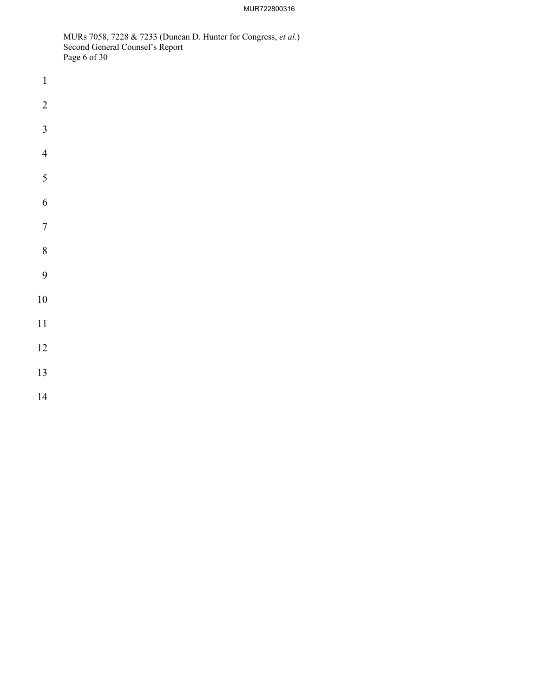MURs 7058, 7228 & 7233 (Duncan D. Hunter for Congress, *et al*.) Second General Counsel's Report Page 6 of 30

- 
- 
-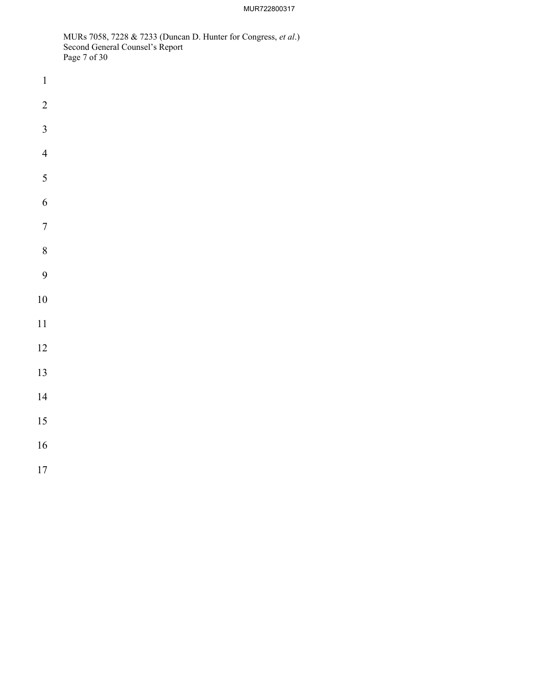MURs 7058, 7228 & 7233 (Duncan D. Hunter for Congress, *et al*.) Second General Counsel's Report Page 7 of 30

- 
-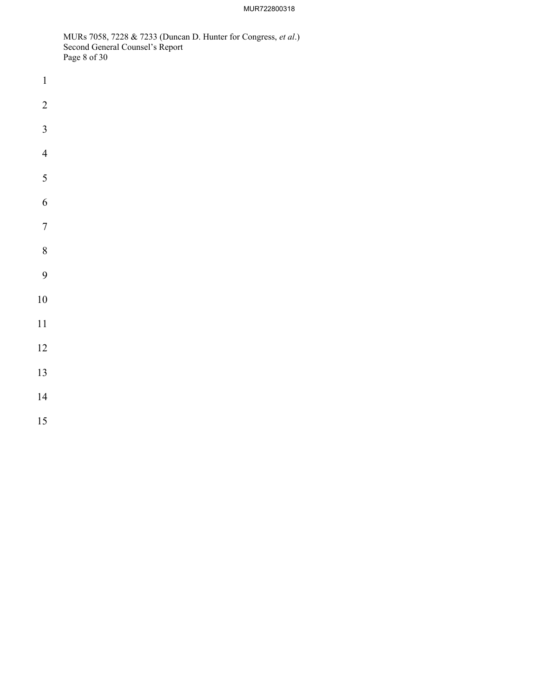MURs 7058, 7228 & 7233 (Duncan D. Hunter for Congress, *et al*.) Second General Counsel's Report Page 8 of 30

- 
-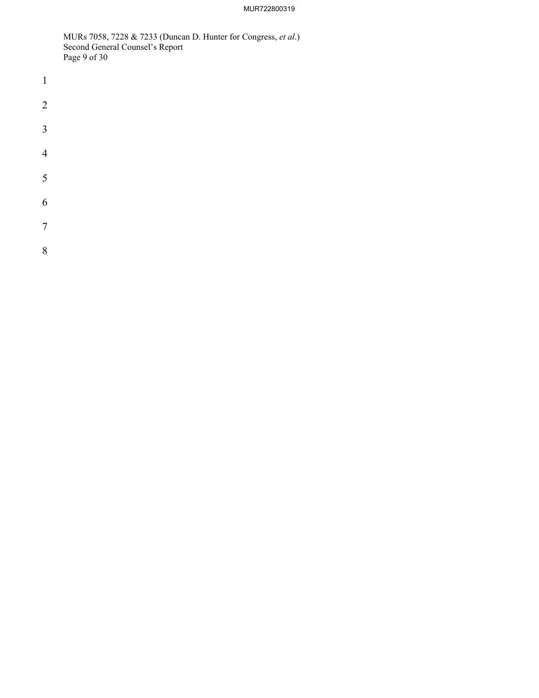MURs 7058, 7228 & 7233 (Duncan D. Hunter for Congress, *et al*.) Second General Counsel's Report Page 9 of 30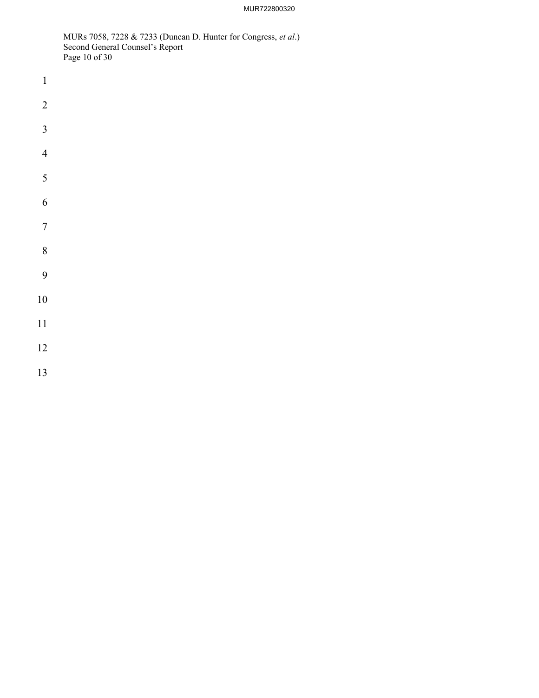MURs 7058, 7228 & 7233 (Duncan D. Hunter for Congress, *et al*.) Second General Counsel's Report Page 10 of 30

- 
- 
-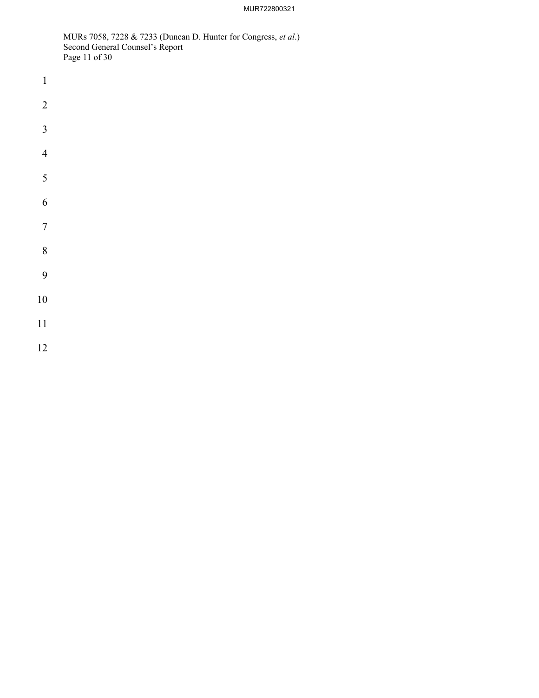MURs 7058, 7228 & 7233 (Duncan D. Hunter for Congress, *et al*.) Second General Counsel's Report Page 11 of 30

- 
- 
-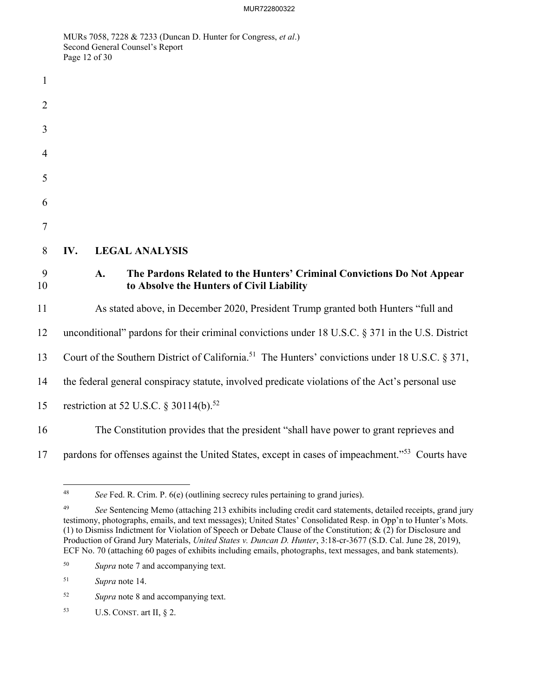MURs 7058, 7228 & 7233 (Duncan D. Hunter for Congress, *et al*.) Second General Counsel's Report Page 12 of 30

| $\mathbf{1}$   |                                                                                                                           |
|----------------|---------------------------------------------------------------------------------------------------------------------------|
| 2              |                                                                                                                           |
| $\overline{3}$ |                                                                                                                           |
| $\overline{4}$ |                                                                                                                           |
| 5              |                                                                                                                           |
| 6              |                                                                                                                           |
| 7              |                                                                                                                           |
| 8              | <b>LEGAL ANALYSIS</b><br>IV.                                                                                              |
| 9<br>10        | A.<br>The Pardons Related to the Hunters' Criminal Convictions Do Not Appear<br>to Absolve the Hunters of Civil Liability |
| 11             | As stated above, in December 2020, President Trump granted both Hunters "full and                                         |
| 12             | unconditional" pardons for their criminal convictions under 18 U.S.C. $\S 371$ in the U.S. District                       |
| 13             | Court of the Southern District of California. <sup>51</sup> The Hunters' convictions under 18 U.S.C. § 371,               |
| 14             | the federal general conspiracy statute, involved predicate violations of the Act's personal use                           |
| 15             | restriction at 52 U.S.C. § 30114(b). <sup>52</sup>                                                                        |
| 16             | The Constitution provides that the president "shall have power to grant reprieves and                                     |
| 17             | pardons for offenses against the United States, except in cases of impeachment." <sup>53</sup> Courts have                |

 $\overline{a}$ 

52 *Supra* note 8 and accompanying text.

<sup>48</sup> *See* Fed. R. Crim. P. 6(e) (outlining secrecy rules pertaining to grand juries).

<sup>49</sup> *See* Sentencing Memo (attaching 213 exhibits including credit card statements, detailed receipts, grand jury testimony, photographs, emails, and text messages); United States' Consolidated Resp. in Opp'n to Hunter's Mots. (1) to Dismiss Indictment for Violation of Speech or Debate Clause of the Constitution;  $\&$  (2) for Disclosure and Production of Grand Jury Materials, *United States v. Duncan D. Hunter*, 3:18-cr-3677 (S.D. Cal. June 28, 2019), ECF No. 70 (attaching 60 pages of exhibits including emails, photographs, text messages, and bank statements).

<sup>50</sup> *Supra* note 7 and accompanying text.

<sup>51</sup> *Supra* note 14.

 $53$  U.S. CONST. art II,  $\S$  2.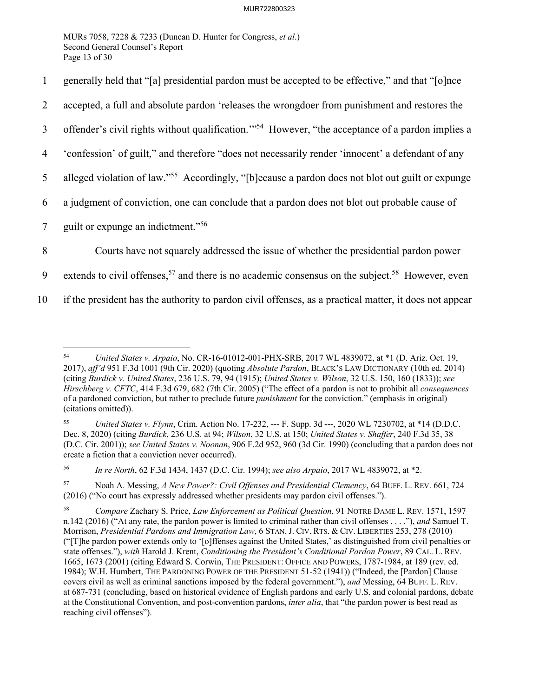MURs 7058, 7228 & 7233 (Duncan D. Hunter for Congress, *et al*.) Second General Counsel's Report Page 13 of 30

| $\mathbf{1}$    | generally held that "[a] presidential pardon must be accepted to be effective," and that "[o]nce               |
|-----------------|----------------------------------------------------------------------------------------------------------------|
| 2               | accepted, a full and absolute pardon 'releases the wrongdoer from punishment and restores the                  |
| $\mathfrak{Z}$  | offender's civil rights without qualification." <sup>54</sup> However, "the acceptance of a pardon implies a   |
| $\overline{4}$  | 'confession' of guilt," and therefore "does not necessarily render 'innocent' a defendant of any               |
| $5\overline{)}$ | alleged violation of law." <sup>55</sup> Accordingly, "[b]ecause a pardon does not blot out guilt or expunge   |
| 6               | a judgment of conviction, one can conclude that a pardon does not blot out probable cause of                   |
| $7\overline{ }$ | guilt or expunge an indictment." <sup>56</sup>                                                                 |
| 8               | Courts have not squarely addressed the issue of whether the presidential pardon power                          |
| 9               | extends to civil offenses, $57$ and there is no academic consensus on the subject. <sup>58</sup> However, even |

10 if the president has the authority to pardon civil offenses, as a practical matter, it does not appear

56 *In re North*, 62 F.3d 1434, 1437 (D.C. Cir. 1994); *see also Arpaio*, 2017 WL 4839072, at \*2.

57 Noah A. Messing, *A New Power?: Civil Offenses and Presidential Clemency*, 64 BUFF. L. REV. 661, 724 (2016) ("No court has expressly addressed whether presidents may pardon civil offenses.").

 $\overline{a}$ 54 *United States v. Arpaio*, No. CR-16-01012-001-PHX-SRB, 2017 WL 4839072, at \*1 (D. Ariz. Oct. 19, 2017), *aff'd* 951 F.3d 1001 (9th Cir. 2020) (quoting *Absolute Pardon*, BLACK'S LAW DICTIONARY (10th ed. 2014) (citing *Burdick v. United States*, 236 U.S. 79, 94 (1915); *United States v. Wilson*, 32 U.S. 150, 160 (1833)); *see Hirschberg v. CFTC*, 414 F.3d 679, 682 (7th Cir. 2005) ("The effect of a pardon is not to prohibit all *consequences* of a pardoned conviction, but rather to preclude future *punishment* for the conviction." (emphasis in original) (citations omitted)).

<sup>55</sup> *United States v. Flynn*, Crim. Action No. 17-232, --- F. Supp. 3d ---, 2020 WL 7230702, at \*14 (D.D.C. Dec. 8, 2020) (citing *Burdick*, 236 U.S. at 94; *Wilson*, 32 U.S. at 150; *United States v. Shaffer*, 240 F.3d 35, 38 (D.C. Cir. 2001)); *see United States v. Noonan*, 906 F.2d 952, 960 (3d Cir. 1990) (concluding that a pardon does not create a fiction that a conviction never occurred).

<sup>58</sup> *Compare* Zachary S. Price, *Law Enforcement as Political Question*, 91 NOTRE DAME L. REV. 1571, 1597 n.142 (2016) ("At any rate, the pardon power is limited to criminal rather than civil offenses . . . ."), *and* Samuel T. Morrison, *Presidential Pardons and Immigration Law*, 6 STAN. J. CIV. RTS. & CIV. LIBERTIES 253, 278 (2010) ("[T]he pardon power extends only to '[o]ffenses against the United States,' as distinguished from civil penalties or state offenses."), *with* Harold J. Krent, *Conditioning the President's Conditional Pardon Power*, 89 CAL. L. REV. 1665, 1673 (2001) (citing Edward S. Corwin, THE PRESIDENT: OFFICE AND POWERS, 1787-1984, at 189 (rev. ed. 1984); W.H. Humbert, THE PARDONING POWER OF THE PRESIDENT 51-52 (1941)) ("Indeed, the [Pardon] Clause covers civil as well as criminal sanctions imposed by the federal government."), *and* Messing, 64 BUFF. L. REV. at 687-731 (concluding, based on historical evidence of English pardons and early U.S. and colonial pardons, debate at the Constitutional Convention, and post-convention pardons, *inter alia*, that "the pardon power is best read as reaching civil offenses").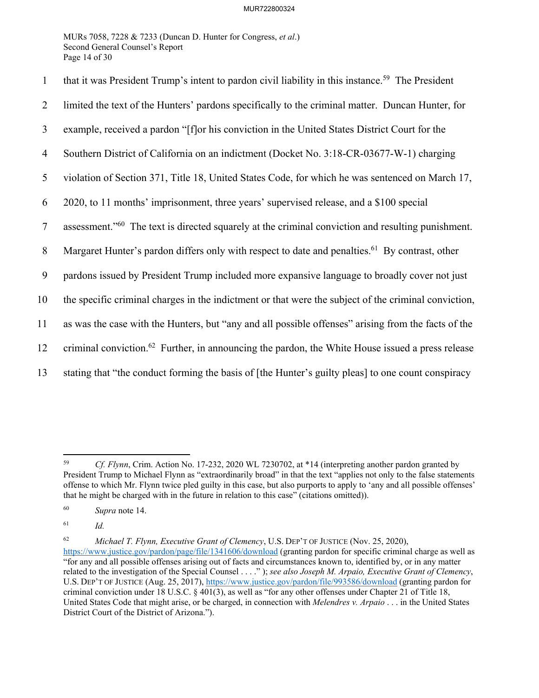MURs 7058, 7228 & 7233 (Duncan D. Hunter for Congress, *et al*.) Second General Counsel's Report Page 14 of 30

that it was President Trump's intent to pardon civil liability in this instance.<sup>59</sup> The President 2 limited the text of the Hunters' pardons specifically to the criminal matter. Duncan Hunter, for 3 example, received a pardon "[f]or his conviction in the United States District Court for the 4 Southern District of California on an indictment (Docket No. 3:18-CR-03677-W-1) charging 5 violation of Section 371, Title 18, United States Code, for which he was sentenced on March 17, 6 2020, to 11 months' imprisonment, three years' supervised release, and a \$100 special 7 assessment."<sup>60</sup> The text is directed squarely at the criminal conviction and resulting punishment. 8 Margaret Hunter's pardon differs only with respect to date and penalties.<sup>61</sup> By contrast, other 9 pardons issued by President Trump included more expansive language to broadly cover not just 10 the specific criminal charges in the indictment or that were the subject of the criminal conviction, 11 as was the case with the Hunters, but "any and all possible offenses" arising from the facts of the 12 criminal conviction.<sup>62</sup> Further, in announcing the pardon, the White House issued a press release 13 stating that "the conduct forming the basis of [the Hunter's guilty pleas] to one count conspiracy

 $\overline{a}$ 

62 *Michael T. Flynn, Executive Grant of Clemency*, U.S. DEP'T OF JUSTICE (Nov. 25, 2020),

<sup>59</sup> *Cf. Flynn*, Crim. Action No. 17-232, 2020 WL 7230702, at \*14 (interpreting another pardon granted by President Trump to Michael Flynn as "extraordinarily broad" in that the text "applies not only to the false statements offense to which Mr. Flynn twice pled guilty in this case, but also purports to apply to 'any and all possible offenses' that he might be charged with in the future in relation to this case" (citations omitted)).

<sup>60</sup> *Supra* note 14.

<sup>61</sup> *Id.*

https://www.justice.gov/pardon/page/file/1341606/download (granting pardon for specific criminal charge as well as "for any and all possible offenses arising out of facts and circumstances known to, identified by, or in any matter related to the investigation of the Special Counsel . . . ." ); *see also Joseph M. Arpaio, Executive Grant of Clemency*, U.S. DEP'T OF JUSTICE (Aug. 25, 2017), https://www.justice.gov/pardon/file/993586/download (granting pardon for criminal conviction under 18 U.S.C. § 401(3), as well as "for any other offenses under Chapter 21 of Title 18, United States Code that might arise, or be charged, in connection with *Melendres v. Arpaio* . . . in the United States District Court of the District of Arizona.").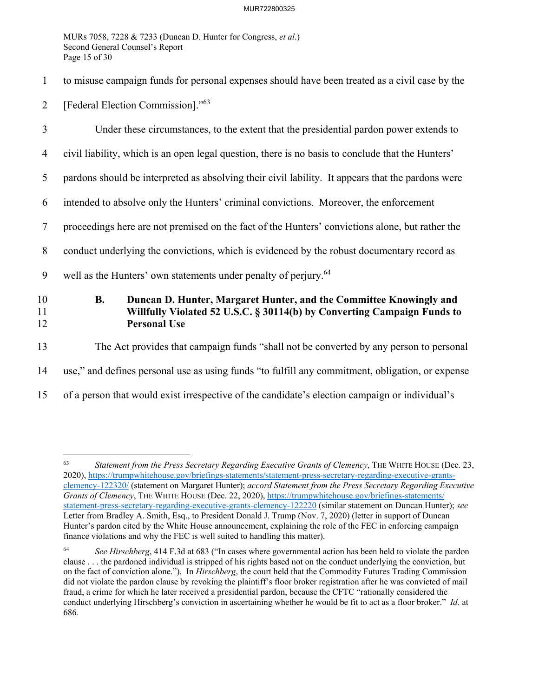MURs 7058, 7228 & 7233 (Duncan D. Hunter for Congress, *et al*.) Second General Counsel's Report Page 15 of 30

1 to misuse campaign funds for personal expenses should have been treated as a civil case by the

2 [Federal Election Commission]."<sup>63</sup>

 $\overline{a}$ 

| 3              | Under these circumstances, to the extent that the presidential pardon power extends to                                                                                            |
|----------------|-----------------------------------------------------------------------------------------------------------------------------------------------------------------------------------|
| 4              | civil liability, which is an open legal question, there is no basis to conclude that the Hunters'                                                                                 |
| 5              | pardons should be interpreted as absolving their civil lability. It appears that the pardons were                                                                                 |
| 6              | intended to absolve only the Hunters' criminal convictions. Moreover, the enforcement                                                                                             |
| $\tau$         | proceedings here are not premised on the fact of the Hunters' convictions alone, but rather the                                                                                   |
| 8              | conduct underlying the convictions, which is evidenced by the robust documentary record as                                                                                        |
| 9              | well as the Hunters' own statements under penalty of perjury. <sup>64</sup>                                                                                                       |
| 10<br>11<br>12 | Duncan D. Hunter, Margaret Hunter, and the Committee Knowingly and<br><b>B.</b><br>Willfully Violated 52 U.S.C. § 30114(b) by Converting Campaign Funds to<br><b>Personal Use</b> |
| 13             | The Act provides that campaign funds "shall not be converted by any person to personal                                                                                            |
| 14             | use," and defines personal use as using funds "to fulfill any commitment, obligation, or expense                                                                                  |
| 15             | of a person that would exist irrespective of the candidate's election campaign or individual's                                                                                    |

<sup>63</sup> *Statement from the Press Secretary Regarding Executive Grants of Clemency*, THE WHITE HOUSE (Dec. 23, 2020), https://trumpwhitehouse.gov/briefings-statements/statement-press-secretary-regarding-executive-grantsclemency-122320/ (statement on Margaret Hunter); *accord Statement from the Press Secretary Regarding Executive Grants of Clemency*, THE WHITE HOUSE (Dec. 22, 2020), https://trumpwhitehouse.gov/briefings-statements/ statement-press-secretary-regarding-executive-grants-clemency-122220 (similar statement on Duncan Hunter); *see* Letter from Bradley A. Smith, Esq., to President Donald J. Trump (Nov. 7, 2020) (letter in support of Duncan Hunter's pardon cited by the White House announcement, explaining the role of the FEC in enforcing campaign finance violations and why the FEC is well suited to handling this matter).

<sup>64</sup> *See Hirschberg*, 414 F.3d at 683 ("In cases where governmental action has been held to violate the pardon clause . . . the pardoned individual is stripped of his rights based not on the conduct underlying the conviction, but on the fact of conviction alone."). In *Hirschberg*, the court held that the Commodity Futures Trading Commission did not violate the pardon clause by revoking the plaintiff's floor broker registration after he was convicted of mail fraud, a crime for which he later received a presidential pardon, because the CFTC "rationally considered the conduct underlying Hirschberg's conviction in ascertaining whether he would be fit to act as a floor broker." *Id.* at 686.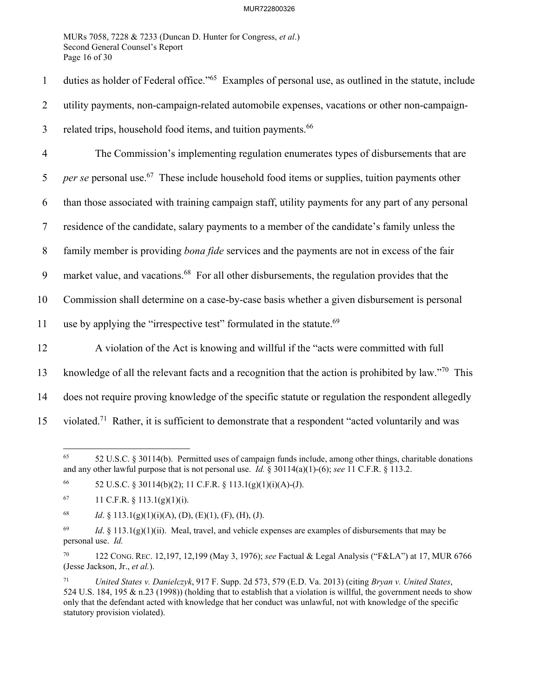duties as holder of Federal office."<sup>65</sup> Examples of personal use, as outlined in the statute, include 2 utility payments, non-campaign-related automobile expenses, vacations or other non-campaign-3 related trips, household food items, and tuition payments.<sup>66</sup> 4 The Commission's implementing regulation enumerates types of disbursements that are 5 *per se* personal use.<sup>67</sup> These include household food items or supplies, tuition payments other 6 than those associated with training campaign staff, utility payments for any part of any personal 7 residence of the candidate, salary payments to a member of the candidate's family unless the 8 family member is providing *bona fide* services and the payments are not in excess of the fair 9 market value, and vacations. $68$  For all other disbursements, the regulation provides that the 10 Commission shall determine on a case-by-case basis whether a given disbursement is personal 11 use by applying the "irrespective test" formulated in the statute. $69$ 12 A violation of the Act is knowing and willful if the "acts were committed with full 13 knowledge of all the relevant facts and a recognition that the action is prohibited by law. $\cdot$ <sup>70</sup> This 14 does not require proving knowledge of the specific statute or regulation the respondent allegedly 15 violated.<sup>71</sup> Rather, it is sufficient to demonstrate that a respondent "acted voluntarily and was

 $\overline{a}$ 

<sup>65 52</sup> U.S.C. § 30114(b). Permitted uses of campaign funds include, among other things, charitable donations and any other lawful purpose that is not personal use. *Id.* § 30114(a)(1)-(6); *see* 11 C.F.R. § 113.2.

<sup>66 52</sup> U.S.C. § 30114(b)(2); 11 C.F.R. § 113.1(g)(1)(i)(A)-(J).

<sup>67 11</sup> C.F.R.  $\S$  113.1(g)(1)(i).

<sup>68</sup> *Id.* § 113.1(g)(1)(i)(A), (D), (E)(1), (F), (H), (J).

 $\frac{69}{10}$  *Id.* § 113.1(g)(1)(ii). Meal, travel, and vehicle expenses are examples of disbursements that may be personal use. *Id.*

<sup>70 122</sup> CONG. REC. 12,197, 12,199 (May 3, 1976); *see* Factual & Legal Analysis ("F&LA") at 17, MUR 6766 (Jesse Jackson, Jr., *et al.*).

<sup>71</sup> *United States v. Danielczyk*, 917 F. Supp. 2d 573, 579 (E.D. Va. 2013) (citing *Bryan v. United States*, 524 U.S. 184, 195 & n.23 (1998)) (holding that to establish that a violation is willful, the government needs to show only that the defendant acted with knowledge that her conduct was unlawful, not with knowledge of the specific statutory provision violated).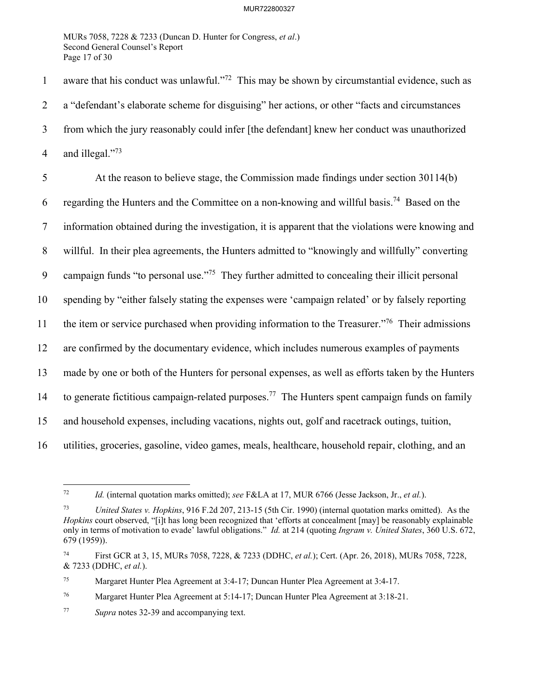MURs 7058, 7228 & 7233 (Duncan D. Hunter for Congress, *et al*.) Second General Counsel's Report Page 17 of 30

1 aware that his conduct was unlawful."<sup>72</sup> This may be shown by circumstantial evidence, such as 2 a "defendant's elaborate scheme for disguising" her actions, or other "facts and circumstances 3 from which the jury reasonably could infer [the defendant] knew her conduct was unauthorized 4 and illegal. $\frac{373}{4}$ 

5 At the reason to believe stage, the Commission made findings under section 30114(b) 6 regarding the Hunters and the Committee on a non-knowing and willful basis.<sup>74</sup> Based on the 7 information obtained during the investigation, it is apparent that the violations were knowing and 8 willful. In their plea agreements, the Hunters admitted to "knowingly and willfully" converting 9 campaign funds "to personal use."<sup>75</sup> They further admitted to concealing their illicit personal 10 spending by "either falsely stating the expenses were 'campaign related' or by falsely reporting 11 the item or service purchased when providing information to the Treasurer. $176$  Their admissions 12 are confirmed by the documentary evidence, which includes numerous examples of payments 13 made by one or both of the Hunters for personal expenses, as well as efforts taken by the Hunters 14 to generate fictitious campaign-related purposes.<sup>77</sup> The Hunters spent campaign funds on family 15 and household expenses, including vacations, nights out, golf and racetrack outings, tuition, 16 utilities, groceries, gasoline, video games, meals, healthcare, household repair, clothing, and an

 $72\,$ 72 *Id.* (internal quotation marks omitted); *see* F&LA at 17, MUR 6766 (Jesse Jackson, Jr., *et al.*).

<sup>73</sup> *United States v. Hopkins*, 916 F.2d 207, 213-15 (5th Cir. 1990) (internal quotation marks omitted). As the *Hopkins* court observed, "[i]t has long been recognized that 'efforts at concealment [may] be reasonably explainable only in terms of motivation to evade' lawful obligations." *Id.* at 214 (quoting *Ingram v. United States*, 360 U.S. 672, 679 (1959)).

<sup>74</sup> First GCR at 3, 15, MURs 7058, 7228, & 7233 (DDHC, *et al.*); Cert. (Apr. 26, 2018), MURs 7058, 7228, & 7233 (DDHC, *et al.*).

<sup>75</sup> Margaret Hunter Plea Agreement at 3:4-17; Duncan Hunter Plea Agreement at 3:4-17.

<sup>76</sup> Margaret Hunter Plea Agreement at 5:14-17; Duncan Hunter Plea Agreement at 3:18-21.

<sup>77</sup> *Supra* notes 32-39 and accompanying text.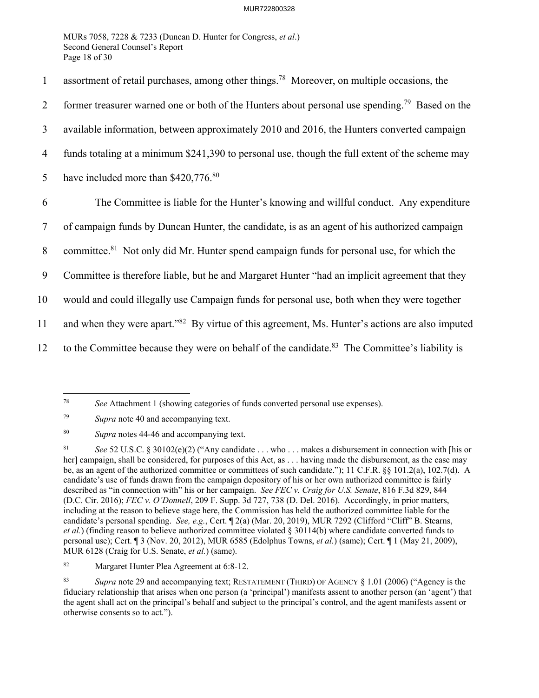MURs 7058, 7228 & 7233 (Duncan D. Hunter for Congress, *et al*.) Second General Counsel's Report Page 18 of 30

| 1              | assortment of retail purchases, among other things. <sup>78</sup> Moreover, on multiple occasions, the      |
|----------------|-------------------------------------------------------------------------------------------------------------|
| 2              | former treasurer warned one or both of the Hunters about personal use spending. <sup>79</sup> Based on the  |
| $\mathfrak{Z}$ | available information, between approximately 2010 and 2016, the Hunters converted campaign                  |
| 4              | funds totaling at a minimum \$241,390 to personal use, though the full extent of the scheme may             |
| 5              | have included more than $$420,776.^{80}$                                                                    |
| 6              | The Committee is liable for the Hunter's knowing and willful conduct. Any expenditure                       |
| $\overline{7}$ | of campaign funds by Duncan Hunter, the candidate, is as an agent of his authorized campaign                |
| 8              | committee. <sup>81</sup> Not only did Mr. Hunter spend campaign funds for personal use, for which the       |
| 9              | Committee is therefore liable, but he and Margaret Hunter "had an implicit agreement that they              |
| 10             | would and could illegally use Campaign funds for personal use, both when they were together                 |
| 11             | and when they were apart." <sup>82</sup> By virtue of this agreement, Ms. Hunter's actions are also imputed |
| 12             | to the Committee because they were on behalf of the candidate. <sup>83</sup> The Committee's liability is   |

<sup>78</sup> See Attachment 1 (showing categories of funds converted personal use expenses).

<sup>79</sup> *Supra* note 40 and accompanying text.

<sup>80</sup> *Supra* notes 44-46 and accompanying text.

<sup>81</sup> *See* 52 U.S.C. § 30102(e)(2) ("Any candidate . . . who . . . makes a disbursement in connection with [his or her] campaign, shall be considered, for purposes of this Act, as . . . having made the disbursement, as the case may be, as an agent of the authorized committee or committees of such candidate."); 11 C.F.R. §§ 101.2(a), 102.7(d). A candidate's use of funds drawn from the campaign depository of his or her own authorized committee is fairly described as "in connection with" his or her campaign. *See FEC v. Craig for U.S. Senate*, 816 F.3d 829, 844 (D.C. Cir. 2016); *FEC v. O'Donnell*, 209 F. Supp. 3d 727, 738 (D. Del. 2016). Accordingly, in prior matters, including at the reason to believe stage here, the Commission has held the authorized committee liable for the candidate's personal spending. *See, e.g.*, Cert. ¶ 2(a) (Mar. 20, 2019), MUR 7292 (Clifford "Cliff" B. Stearns, *et al.*) (finding reason to believe authorized committee violated § 30114(b) where candidate converted funds to personal use); Cert. ¶ 3 (Nov. 20, 2012), MUR 6585 (Edolphus Towns, *et al.*) (same); Cert. ¶ 1 (May 21, 2009), MUR 6128 (Craig for U.S. Senate, *et al.*) (same).

<sup>82</sup> Margaret Hunter Plea Agreement at 6:8-12.

<sup>83</sup> *Supra* note 29 and accompanying text; RESTATEMENT (THIRD) OF AGENCY § 1.01 (2006) ("Agency is the fiduciary relationship that arises when one person (a 'principal') manifests assent to another person (an 'agent') that the agent shall act on the principal's behalf and subject to the principal's control, and the agent manifests assent or otherwise consents so to act.").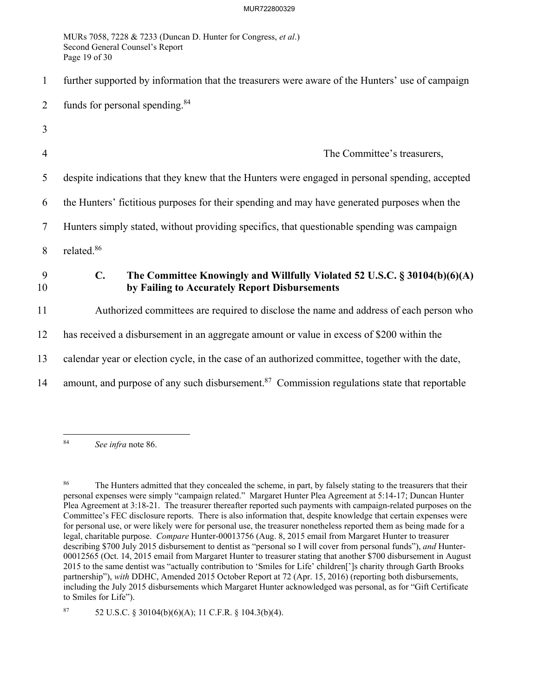|                | MURs 7058, 7228 & 7233 (Duncan D. Hunter for Congress, et al.)<br>Second General Counsel's Report<br>Page 19 of 30                           |
|----------------|----------------------------------------------------------------------------------------------------------------------------------------------|
| $\mathbf{1}$   | further supported by information that the treasurers were aware of the Hunters' use of campaign                                              |
| $\overline{2}$ | funds for personal spending. <sup>84</sup>                                                                                                   |
| 3              |                                                                                                                                              |
| $\overline{4}$ | The Committee's treasurers,                                                                                                                  |
| 5              | despite indications that they knew that the Hunters were engaged in personal spending, accepted                                              |
| 6              | the Hunters' fictitious purposes for their spending and may have generated purposes when the                                                 |
| $\overline{7}$ | Hunters simply stated, without providing specifics, that questionable spending was campaign                                                  |
| 8              | related. <sup>86</sup>                                                                                                                       |
| 9<br>10        | $\mathbf{C}$ .<br>The Committee Knowingly and Willfully Violated 52 U.S.C. § 30104(b)(6)(A)<br>by Failing to Accurately Report Disbursements |
| 11             | Authorized committees are required to disclose the name and address of each person who                                                       |
| 12             | has received a disbursement in an aggregate amount or value in excess of \$200 within the                                                    |
| 13             | calendar year or election cycle, in the case of an authorized committee, together with the date,                                             |
| 14             | amount, and purpose of any such disbursement. <sup>87</sup> Commission regulations state that reportable                                     |

84 See *infra* note 86.

<sup>&</sup>lt;sup>86</sup> The Hunters admitted that they concealed the scheme, in part, by falsely stating to the treasurers that their personal expenses were simply "campaign related." Margaret Hunter Plea Agreement at 5:14-17; Duncan Hunter Plea Agreement at 3:18-21. The treasurer thereafter reported such payments with campaign-related purposes on the Committee's FEC disclosure reports. There is also information that, despite knowledge that certain expenses were for personal use, or were likely were for personal use, the treasurer nonetheless reported them as being made for a legal, charitable purpose. *Compare* Hunter-00013756 (Aug. 8, 2015 email from Margaret Hunter to treasurer describing \$700 July 2015 disbursement to dentist as "personal so I will cover from personal funds"), *and* Hunter-00012565 (Oct. 14, 2015 email from Margaret Hunter to treasurer stating that another \$700 disbursement in August 2015 to the same dentist was "actually contribution to 'Smiles for Life' children[']s charity through Garth Brooks partnership"), *with* DDHC, Amended 2015 October Report at 72 (Apr. 15, 2016) (reporting both disbursements, including the July 2015 disbursements which Margaret Hunter acknowledged was personal, as for "Gift Certificate to Smiles for Life").

<sup>87 52</sup> U.S.C. § 30104(b)(6)(A); 11 C.F.R. § 104.3(b)(4).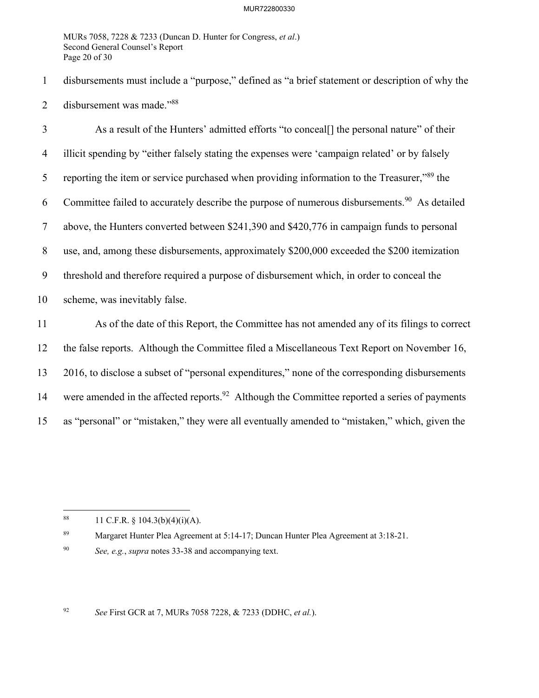MURs 7058, 7228 & 7233 (Duncan D. Hunter for Congress, *et al*.) Second General Counsel's Report Page 20 of 30

1 disbursements must include a "purpose," defined as "a brief statement or description of why the 2 disbursement was made."<sup>88</sup>

3 As a result of the Hunters' admitted efforts "to conceal[] the personal nature" of their 4 illicit spending by "either falsely stating the expenses were 'campaign related' or by falsely 5 reporting the item or service purchased when providing information to the Treasurer," $89$  the 6 Committee failed to accurately describe the purpose of numerous disbursements.<sup>90</sup> As detailed 7 above, the Hunters converted between \$241,390 and \$420,776 in campaign funds to personal 8 use, and, among these disbursements, approximately \$200,000 exceeded the \$200 itemization 9 threshold and therefore required a purpose of disbursement which, in order to conceal the 10 scheme, was inevitably false.

11 As of the date of this Report, the Committee has not amended any of its filings to correct 12 the false reports. Although the Committee filed a Miscellaneous Text Report on November 16, 13 2016, to disclose a subset of "personal expenditures," none of the corresponding disbursements 14 were amended in the affected reports.<sup>92</sup> Although the Committee reported a series of payments 15 as "personal" or "mistaken," they were all eventually amended to "mistaken," which, given the

90 *See, e.g.*, *supra* notes 33-38 and accompanying text.

92 *See* First GCR at 7, MURs 7058 7228, & 7233 (DDHC, *et al.*).

 $\bf 88$ 11 C.F.R.  $\S$  104.3(b)(4)(i)(A).

<sup>89</sup> Margaret Hunter Plea Agreement at 5:14-17; Duncan Hunter Plea Agreement at 3:18-21.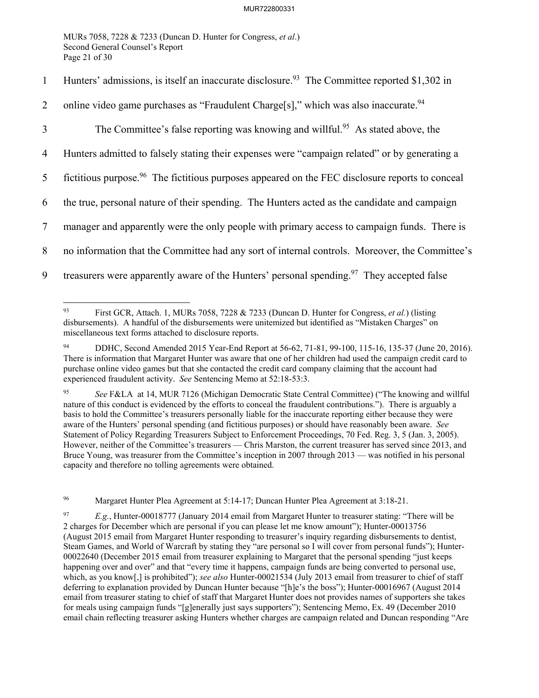| $\mathbf{1}$   | Hunters' admissions, is itself an inaccurate disclosure. <sup>93</sup> The Committee reported \$1,302 in    |
|----------------|-------------------------------------------------------------------------------------------------------------|
| $\overline{2}$ | online video game purchases as "Fraudulent Charge[s]," which was also inaccurate. <sup>94</sup>             |
| $\overline{3}$ | The Committee's false reporting was knowing and willful. <sup>95</sup> As stated above, the                 |
| $\overline{4}$ | Hunters admitted to falsely stating their expenses were "campaign related" or by generating a               |
| 5 <sup>5</sup> | fictitious purpose. <sup>96</sup> The fictitious purposes appeared on the FEC disclosure reports to conceal |
| 6              | the true, personal nature of their spending. The Hunters acted as the candidate and campaign                |
| $\tau$         | manager and apparently were the only people with primary access to campaign funds. There is                 |
| 8              | no information that the Committee had any sort of internal controls. Moreover, the Committee's              |
| 9              | treasurers were apparently aware of the Hunters' personal spending. <sup>97</sup> They accepted false       |

<sup>93</sup> 93 First GCR, Attach. 1, MURs 7058, 7228 & 7233 (Duncan D. Hunter for Congress, *et al.*) (listing disbursements). A handful of the disbursements were unitemized but identified as "Mistaken Charges" on miscellaneous text forms attached to disclosure reports.

96 Margaret Hunter Plea Agreement at 5:14-17; Duncan Hunter Plea Agreement at 3:18-21.

97 *E.g.*, Hunter-00018777 (January 2014 email from Margaret Hunter to treasurer stating: "There will be 2 charges for December which are personal if you can please let me know amount"); Hunter-00013756 (August 2015 email from Margaret Hunter responding to treasurer's inquiry regarding disbursements to dentist, Steam Games, and World of Warcraft by stating they "are personal so I will cover from personal funds"); Hunter-00022640 (December 2015 email from treasurer explaining to Margaret that the personal spending "just keeps happening over and over" and that "every time it happens, campaign funds are being converted to personal use, which, as you know<sup>[</sup>,] is prohibited"); *see also* Hunter-00021534 (July 2013 email from treasurer to chief of staff deferring to explanation provided by Duncan Hunter because "[h]e's the boss"); Hunter-00016967 (August 2014 email from treasurer stating to chief of staff that Margaret Hunter does not provides names of supporters she takes for meals using campaign funds "[g]enerally just says supporters"); Sentencing Memo, Ex. 49 (December 2010 email chain reflecting treasurer asking Hunters whether charges are campaign related and Duncan responding "Are

<sup>94</sup> DDHC, Second Amended 2015 Year-End Report at 56-62, 71-81, 99-100, 115-16, 135-37 (June 20, 2016). There is information that Margaret Hunter was aware that one of her children had used the campaign credit card to purchase online video games but that she contacted the credit card company claiming that the account had experienced fraudulent activity. *See* Sentencing Memo at 52:18-53:3.

<sup>95</sup> *See* F&LA at 14, MUR 7126 (Michigan Democratic State Central Committee) ("The knowing and willful nature of this conduct is evidenced by the efforts to conceal the fraudulent contributions."). There is arguably a basis to hold the Committee's treasurers personally liable for the inaccurate reporting either because they were aware of the Hunters' personal spending (and fictitious purposes) or should have reasonably been aware. *See* Statement of Policy Regarding Treasurers Subject to Enforcement Proceedings, 70 Fed. Reg. 3, 5 (Jan. 3, 2005). However, neither of the Committee's treasurers — Chris Marston, the current treasurer has served since 2013, and Bruce Young, was treasurer from the Committee's inception in 2007 through 2013 — was notified in his personal capacity and therefore no tolling agreements were obtained.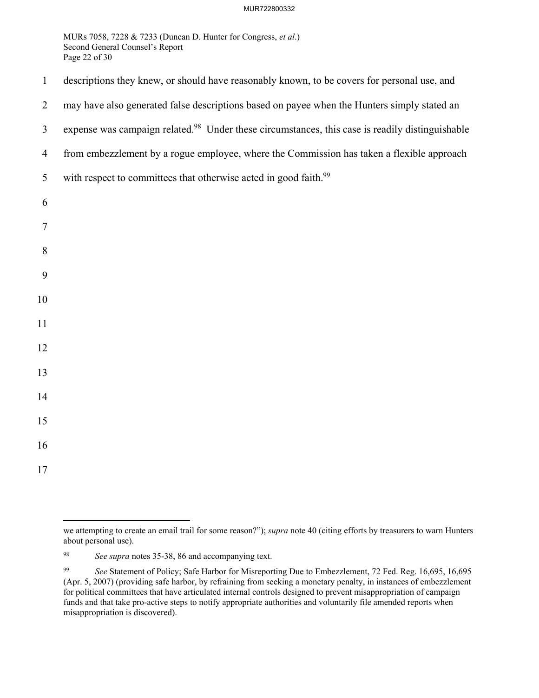MURs 7058, 7228 & 7233 (Duncan D. Hunter for Congress, *et al*.) Second General Counsel's Report Page 22 of 30

- 1 descriptions they knew, or should have reasonably known, to be covers for personal use, and
- 2 may have also generated false descriptions based on payee when the Hunters simply stated an
- 3 expense was campaign related.<sup>98</sup> Under these circumstances, this case is readily distinguishable
- 4 from embezzlement by a rogue employee, where the Commission has taken a flexible approach
- 5 with respect to committees that otherwise acted in good faith.<sup>99</sup>
- 6
- 
- 
- 7
	-
- 8
- 9
- 
- 10
- 
- 
- 11
- 12
- 13
- 
- 14
- 
- 
- 
- 15

16

17

we attempting to create an email trail for some reason?"); *supra* note 40 (citing efforts by treasurers to warn Hunters about personal use).

<sup>98</sup> *See supra* notes 35-38, 86 and accompanying text.

<sup>&</sup>lt;sup>99</sup> *See* Statement of Policy; Safe Harbor for Misreporting Due to Embezzlement, 72 Fed. Reg. 16,695, 16,695 (Apr. 5, 2007) (providing safe harbor, by refraining from seeking a monetary penalty, in instances of embezzlement for political committees that have articulated internal controls designed to prevent misappropriation of campaign funds and that take pro-active steps to notify appropriate authorities and voluntarily file amended reports when misappropriation is discovered).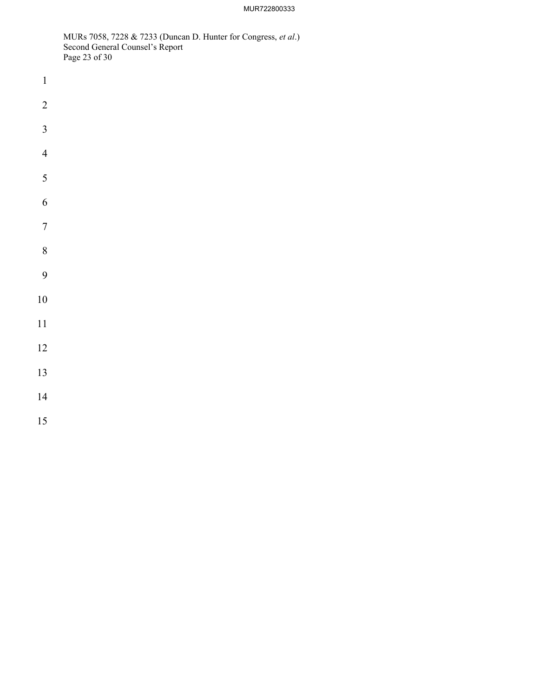MURs 7058, 7228 & 7233 (Duncan D. Hunter for Congress, *et al*.) Second General Counsel's Report Page 23 of 30

- 
- 
-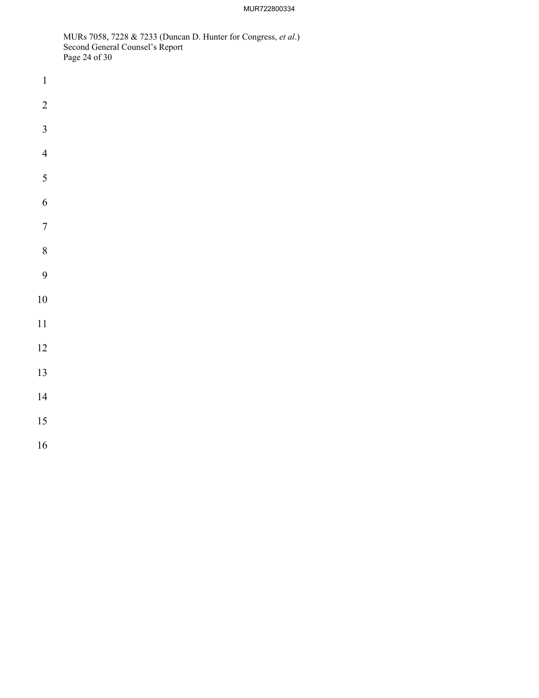MURs 7058, 7228 & 7233 (Duncan D. Hunter for Congress, *et al*.) Second General Counsel's Report Page 24 of 30

- 
-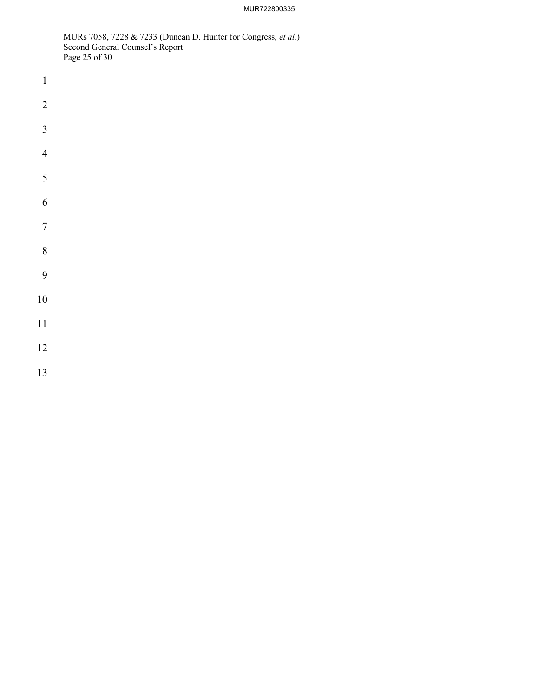MURs 7058, 7228 & 7233 (Duncan D. Hunter for Congress, *et al*.) Second General Counsel's Report Page 25 of 30

- 
- 
-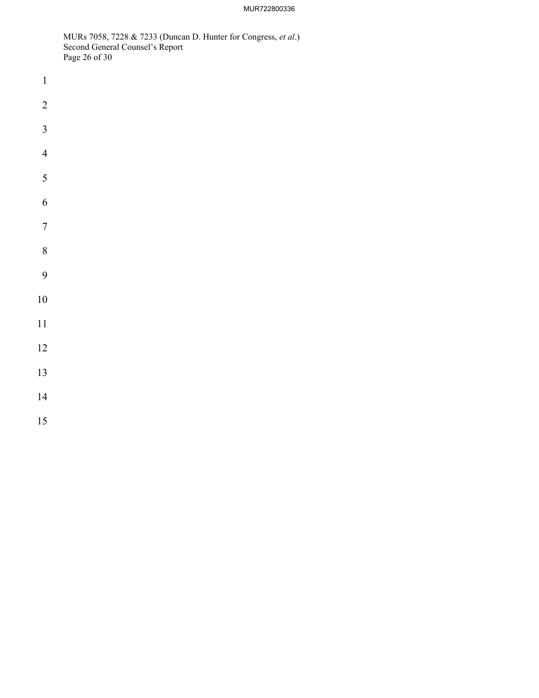MURs 7058, 7228 & 7233 (Duncan D. Hunter for Congress, *et al*.) Second General Counsel's Report Page 26 of 30

- 
- 
-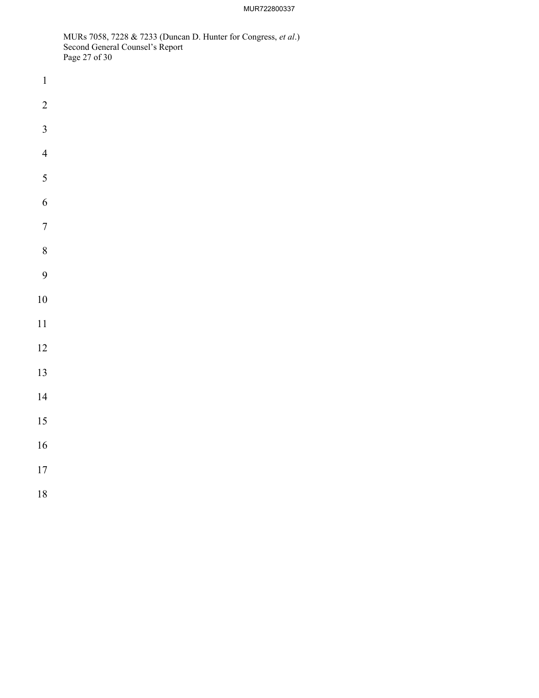MURs 7058, 7228 & 7233 (Duncan D. Hunter for Congress, *et al*.) Second General Counsel's Report Page 27 of 30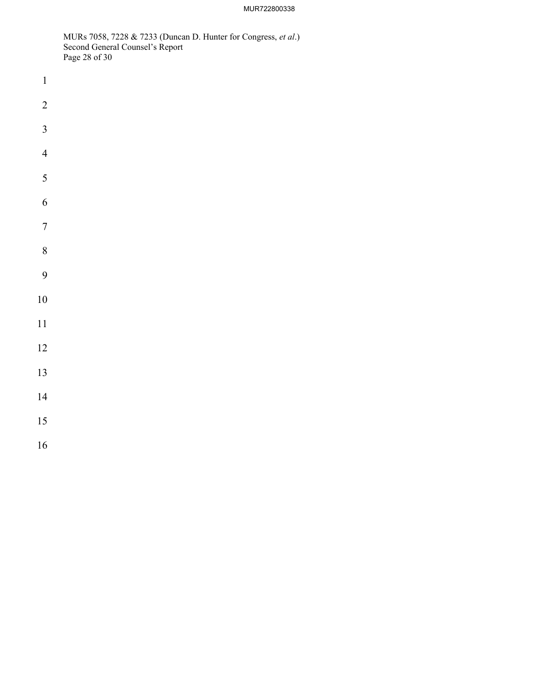MURs 7058, 7228 & 7233 (Duncan D. Hunter for Congress, *et al*.) Second General Counsel's Report Page 28 of 30

- 
- 
-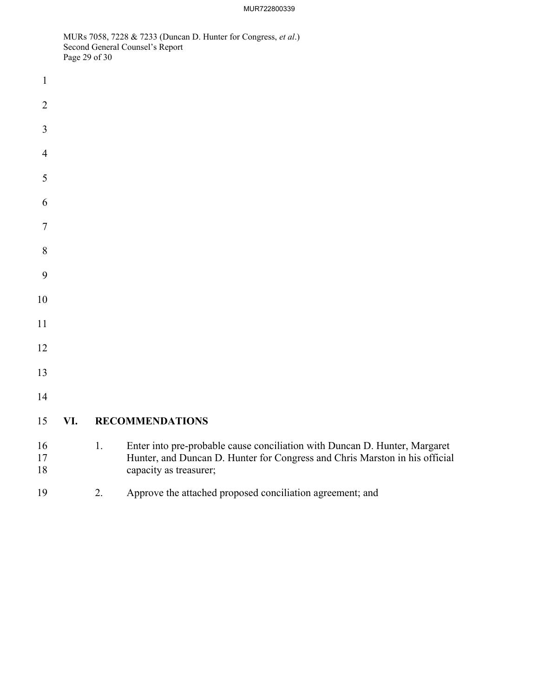MURs 7058, 7228 & 7233 (Duncan D. Hunter for Congress, *et al*.) Second General Counsel's Report Page 29 of 30

 **VI. RECOMMENDATIONS**  16 1. Enter into pre-probable cause conciliation with Duncan D. Hunter, Margaret<br>17 Hunter, and Duncan D. Hunter for Congress and Chris Marston in his official 17 Hunter, and Duncan D. Hunter for Congress and Chris Marston in his official capacity as treasurer; capacity as treasurer; 19 2. Approve the attached proposed conciliation agreement; and